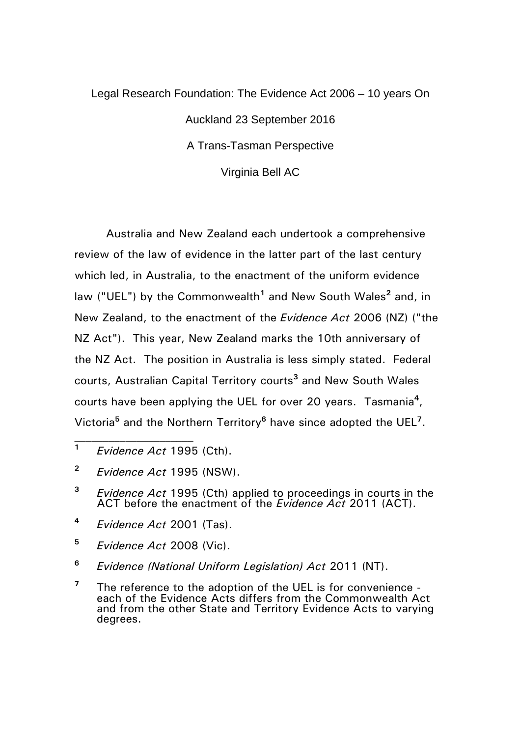## Legal Research Foundation: The Evidence Act 2006 – 10 years On Auckland 23 September 2016 A Trans-Tasman Perspective Virginia Bell AC

Australia and New Zealand each undertook a comprehensive review of the law of evidence in the latter part of the last century which led, in Australia, to the enactment of the uniform evidence law ("UEL") by the Commonwealth**<sup>1</sup>** and New South Wales**<sup>2</sup>** and, in New Zealand, to the enactment of the *Evidence Act* 2006 (NZ) ("the NZ Act"). This year, New Zealand marks the 10th anniversary of the NZ Act. The position in Australia is less simply stated. Federal courts, Australian Capital Territory courts**<sup>3</sup>** and New South Wales courts have been applying the UEL for over 20 years. Tasmania**<sup>4</sup>** , Victoria**<sup>5</sup>** and the Northern Territory**<sup>6</sup>** have since adopted the UEL**<sup>7</sup>** .

- **<sup>1</sup>** *Evidence Act* 1995 (Cth).
- **<sup>2</sup>** *Evidence Act* 1995 (NSW).
- **<sup>3</sup>** *Evidence Act* 1995 (Cth) applied to proceedings in courts in the ACT before the enactment of the *Evidence Act* 2011 (ACT).
- **<sup>4</sup>** *Evidence Act* 2001 (Tas).
- **<sup>5</sup>** *Evidence Act* 2008 (Vic).
- **<sup>6</sup>** *Evidence (National Uniform Legislation) Act* 2011 (NT).
- **<sup>7</sup>** The reference to the adoption of the UEL is for convenience each of the Evidence Acts differs from the Commonwealth Act and from the other State and Territory Evidence Acts to varying degrees.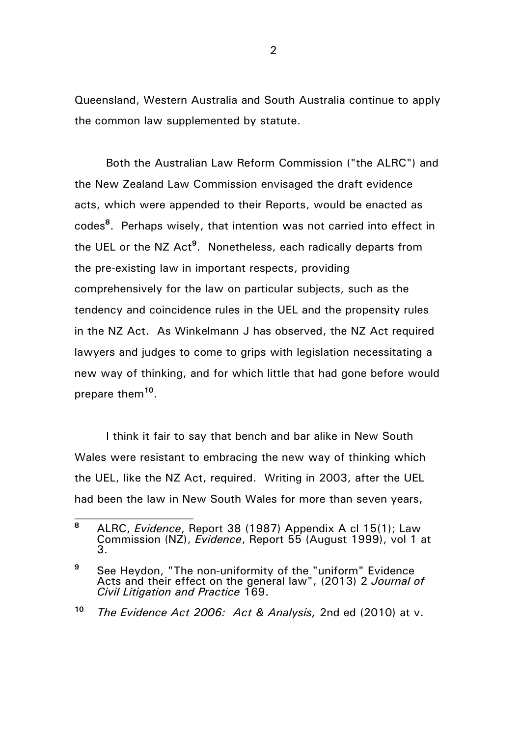Queensland, Western Australia and South Australia continue to apply the common law supplemented by statute.

Both the Australian Law Reform Commission ("the ALRC") and the New Zealand Law Commission envisaged the draft evidence acts, which were appended to their Reports, would be enacted as codes**<sup>8</sup>** . Perhaps wisely, that intention was not carried into effect in the UEL or the NZ Act**<sup>9</sup>** . Nonetheless, each radically departs from the pre-existing law in important respects, providing comprehensively for the law on particular subjects, such as the tendency and coincidence rules in the UEL and the propensity rules in the NZ Act. As Winkelmann J has observed, the NZ Act required lawyers and judges to come to grips with legislation necessitating a new way of thinking, and for which little that had gone before would prepare them**<sup>10</sup>** .

I think it fair to say that bench and bar alike in New South Wales were resistant to embracing the new way of thinking which the UEL, like the NZ Act, required. Writing in 2003, after the UEL had been the law in New South Wales for more than seven years,

**<sup>8</sup>** ALRC, *Evidence*, Report 38 (1987) Appendix A cl 15(1); Law Commission (NZ), *Evidence*, Report 55 (August 1999), vol 1 at 3.

**<sup>9</sup>** See Heydon, "The non-uniformity of the "uniform" Evidence Acts and their effect on the general law", (2013) 2 *Journal of Civil Litigation and Practice* 169.

**<sup>10</sup>** *The Evidence Act 2006: Act & Analysis,* 2nd ed (2010) at v.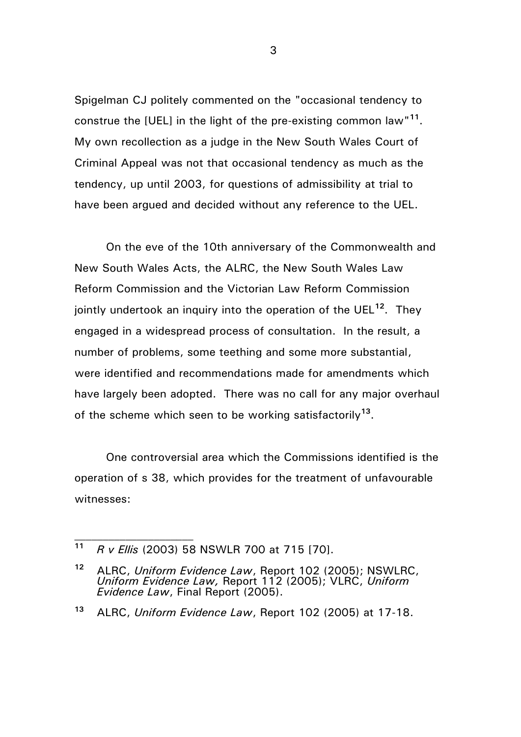Spigelman CJ politely commented on the "occasional tendency to construe the [UEL] in the light of the pre-existing common law"**<sup>11</sup>** . My own recollection as a judge in the New South Wales Court of Criminal Appeal was not that occasional tendency as much as the tendency, up until 2003, for questions of admissibility at trial to have been argued and decided without any reference to the UEL.

On the eve of the 10th anniversary of the Commonwealth and New South Wales Acts, the ALRC, the New South Wales Law Reform Commission and the Victorian Law Reform Commission jointly undertook an inquiry into the operation of the UEL**<sup>12</sup>**. They engaged in a widespread process of consultation. In the result, a number of problems, some teething and some more substantial, were identified and recommendations made for amendments which have largely been adopted. There was no call for any major overhaul of the scheme which seen to be working satisfactorily**<sup>13</sup>** .

One controversial area which the Commissions identified is the operation of s 38, which provides for the treatment of unfavourable witnesses:

**<sup>11</sup>** *R v Ellis* (2003) 58 NSWLR 700 at 715 [70].

**<sup>12</sup>** ALRC, *Uniform Evidence Law*, Report 102 (2005); NSWLRC, *Uniform Evidence Law,* Report 112 (2005); VLRC, *Uniform Evidence Law*, Final Report (2005).

**<sup>13</sup>** ALRC, *Uniform Evidence Law*, Report 102 (2005) at 17-18.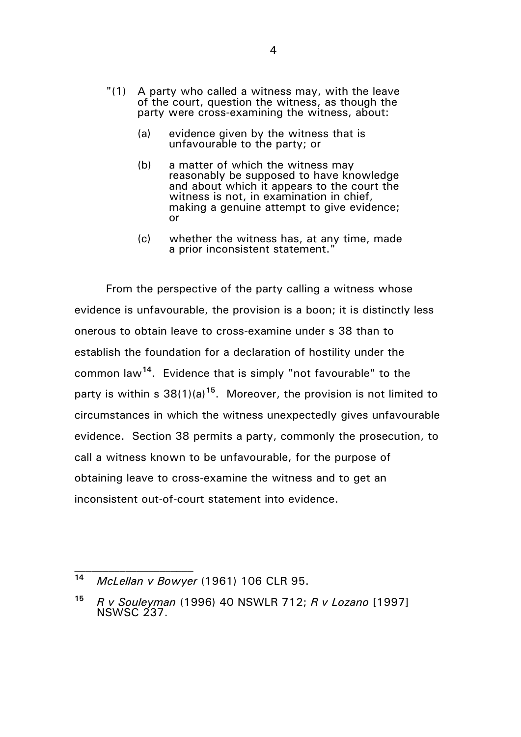- "(1) A party who called a witness may, with the leave of the court, question the witness, as though the party were cross-examining the witness, about:
	- (a) evidence given by the witness that is unfavourable to the party; or
	- (b) a matter of which the witness may reasonably be supposed to have knowledge and about which it appears to the court the witness is not, in examination in chief, making a genuine attempt to give evidence; or
	- (c) whether the witness has, at any time, made a prior inconsistent statement."

From the perspective of the party calling a witness whose evidence is unfavourable, the provision is a boon; it is distinctly less onerous to obtain leave to cross-examine under s 38 than to establish the foundation for a declaration of hostility under the common law**<sup>14</sup>**. Evidence that is simply "not favourable" to the party is within s 38(1)(a)**<sup>15</sup>**. Moreover, the provision is not limited to circumstances in which the witness unexpectedly gives unfavourable evidence. Section 38 permits a party, commonly the prosecution, to call a witness known to be unfavourable, for the purpose of obtaining leave to cross-examine the witness and to get an inconsistent out-of-court statement into evidence.

**<sup>14</sup>** *McLellan v Bowyer* (1961) 106 CLR 95.

**<sup>15</sup>** *R v Souleyman* (1996) 40 NSWLR 712; *R v Lozano* [1997] NSWSC 237.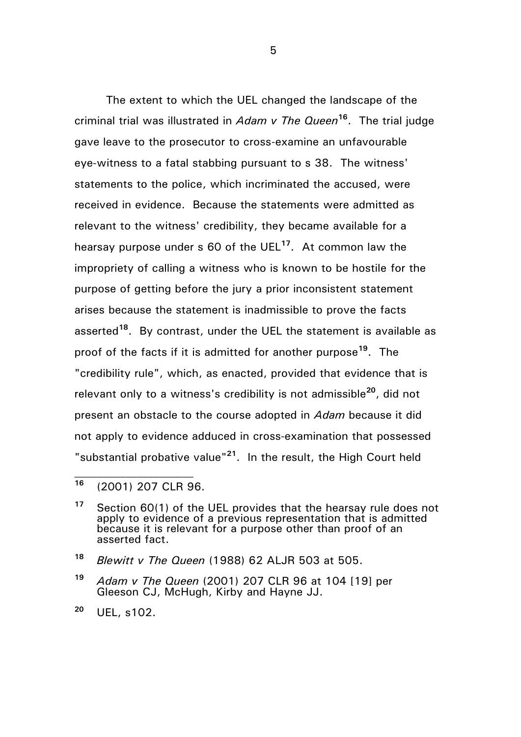The extent to which the UEL changed the landscape of the criminal trial was illustrated in *Adam v The Queen***<sup>16</sup>** . The trial judge gave leave to the prosecutor to cross-examine an unfavourable eye-witness to a fatal stabbing pursuant to s 38. The witness' statements to the police, which incriminated the accused, were received in evidence. Because the statements were admitted as relevant to the witness' credibility, they became available for a hearsay purpose under s 60 of the UEL**<sup>17</sup>** . At common law the impropriety of calling a witness who is known to be hostile for the purpose of getting before the jury a prior inconsistent statement arises because the statement is inadmissible to prove the facts asserted**<sup>18</sup>** . By contrast, under the UEL the statement is available as proof of the facts if it is admitted for another purpose**<sup>19</sup>** . The "credibility rule", which, as enacted, provided that evidence that is relevant only to a witness's credibility is not admissible**<sup>20</sup>**, did not present an obstacle to the course adopted in *Adam* because it did not apply to evidence adduced in cross-examination that possessed "substantial probative value"**<sup>21</sup>**. In the result, the High Court held

**<sup>16</sup>** (2001) 207 CLR 96.

**<sup>17</sup>** Section 60(1) of the UEL provides that the hearsay rule does not apply to evidence of a previous representation that is admitted because it is relevant for a purpose other than proof of an asserted fact.

**<sup>18</sup>** *Blewitt v The Queen* (1988) 62 ALJR 503 at 505.

**<sup>19</sup>** *Adam v The Queen* (2001) 207 CLR 96 at 104 [19] per Gleeson CJ, McHugh, Kirby and Hayne JJ.

**<sup>20</sup>** UEL, s102.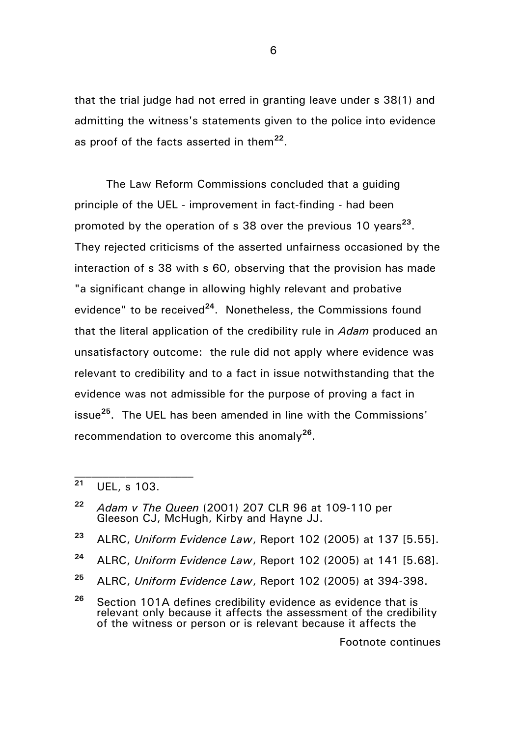that the trial judge had not erred in granting leave under s 38(1) and admitting the witness's statements given to the police into evidence as proof of the facts asserted in them**<sup>22</sup>** .

The Law Reform Commissions concluded that a guiding principle of the UEL - improvement in fact-finding - had been promoted by the operation of s 38 over the previous 10 years<sup>23</sup>. They rejected criticisms of the asserted unfairness occasioned by the interaction of s 38 with s 60, observing that the provision has made "a significant change in allowing highly relevant and probative evidence" to be received**<sup>24</sup>**. Nonetheless, the Commissions found that the literal application of the credibility rule in *Adam* produced an unsatisfactory outcome: the rule did not apply where evidence was relevant to credibility and to a fact in issue notwithstanding that the evidence was not admissible for the purpose of proving a fact in issue**<sup>25</sup>**. The UEL has been amended in line with the Commissions' recommendation to overcome this anomaly**<sup>26</sup>** .

Footnote continues

**<sup>21</sup>** UEL, s 103.

**<sup>22</sup>** *Adam v The Queen* (2001) 207 CLR 96 at 109-110 per Gleeson CJ, McHugh, Kirby and Hayne JJ.

**<sup>23</sup>** ALRC, *Uniform Evidence Law*, Report 102 (2005) at 137 [5.55].

**<sup>24</sup>** ALRC, *Uniform Evidence Law*, Report 102 (2005) at 141 [5.68].

**<sup>25</sup>** ALRC, *Uniform Evidence Law*, Report 102 (2005) at 394-398.

**<sup>26</sup>** Section 101A defines credibility evidence as evidence that is relevant only because it affects the assessment of the credibility of the witness or person or is relevant because it affects the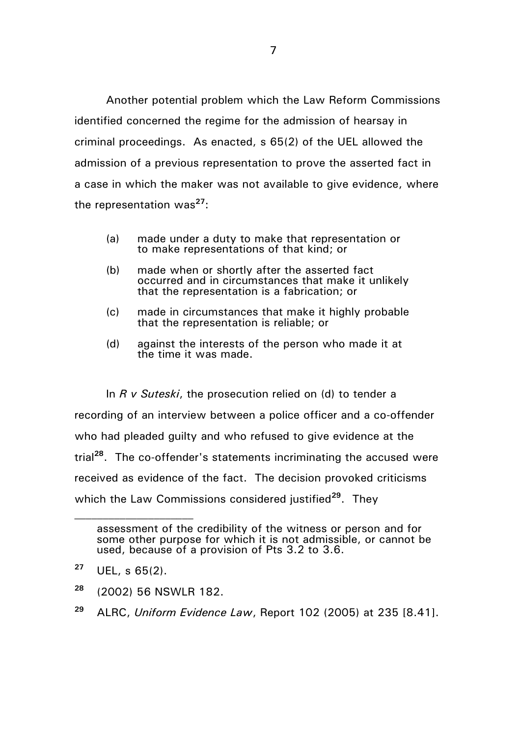Another potential problem which the Law Reform Commissions identified concerned the regime for the admission of hearsay in criminal proceedings. As enacted, s 65(2) of the UEL allowed the admission of a previous representation to prove the asserted fact in a case in which the maker was not available to give evidence, where the representation was**<sup>27</sup>**:

- (a) made under a duty to make that representation or to make representations of that kind; or
- (b) made when or shortly after the asserted fact occurred and in circumstances that make it unlikely that the representation is a fabrication; or
- (c) made in circumstances that make it highly probable that the representation is reliable; or
- (d) against the interests of the person who made it at the time it was made.

In *R v Suteski*, the prosecution relied on (d) to tender a recording of an interview between a police officer and a co-offender who had pleaded quilty and who refused to give evidence at the trial**<sup>28</sup>**. The co-offender's statements incriminating the accused were received as evidence of the fact. The decision provoked criticisms which the Law Commissions considered justified<sup>29</sup>. They

- **<sup>28</sup>** (2002) 56 NSWLR 182.
- **<sup>29</sup>** ALRC, *Uniform Evidence Law*, Report 102 (2005) at 235 [8.41].

assessment of the credibility of the witness or person and for some other purpose for which it is not admissible, or cannot be used, because of a provision of Pts 3.2 to 3.6.

**<sup>27</sup>** UEL, s 65(2).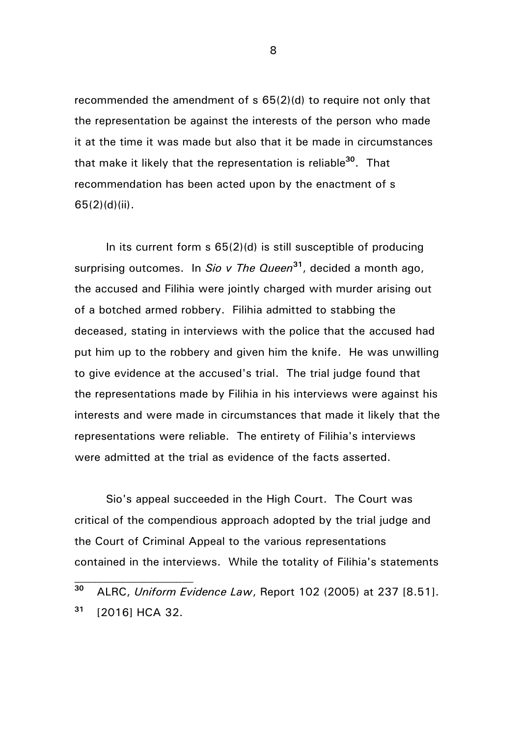recommended the amendment of s 65(2)(d) to require not only that the representation be against the interests of the person who made it at the time it was made but also that it be made in circumstances that make it likely that the representation is reliable**<sup>30</sup>**. That recommendation has been acted upon by the enactment of s 65(2)(d)(ii).

In its current form  $s$  65(2)(d) is still susceptible of producing surprising outcomes. In *Sio v The Queen***<sup>31</sup>** , decided a month ago, the accused and Filihia were jointly charged with murder arising out of a botched armed robbery. Filihia admitted to stabbing the deceased, stating in interviews with the police that the accused had put him up to the robbery and given him the knife. He was unwilling to give evidence at the accused's trial. The trial judge found that the representations made by Filihia in his interviews were against his interests and were made in circumstances that made it likely that the representations were reliable. The entirety of Filihia's interviews were admitted at the trial as evidence of the facts asserted.

Sio's appeal succeeded in the High Court. The Court was critical of the compendious approach adopted by the trial judge and the Court of Criminal Appeal to the various representations contained in the interviews. While the totality of Filihia's statements

**<sup>30</sup>** ALRC, *Uniform Evidence Law*, Report 102 (2005) at 237 [8.51]. **<sup>31</sup>** [2016] HCA 32.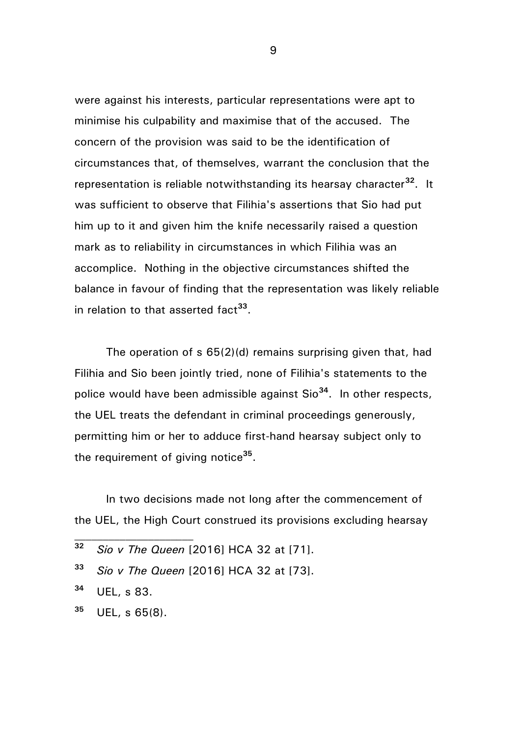were against his interests, particular representations were apt to minimise his culpability and maximise that of the accused. The concern of the provision was said to be the identification of circumstances that, of themselves, warrant the conclusion that the representation is reliable notwithstanding its hearsay character**<sup>32</sup>**. It was sufficient to observe that Filihia's assertions that Sio had put him up to it and given him the knife necessarily raised a question mark as to reliability in circumstances in which Filihia was an accomplice. Nothing in the objective circumstances shifted the balance in favour of finding that the representation was likely reliable in relation to that asserted fact**<sup>33</sup>** .

The operation of s 65(2)(d) remains surprising given that, had Filihia and Sio been jointly tried, none of Filihia's statements to the police would have been admissible against Sio**<sup>34</sup>** . In other respects, the UEL treats the defendant in criminal proceedings generously, permitting him or her to adduce first-hand hearsay subject only to the requirement of giving notice**<sup>35</sup>** .

In two decisions made not long after the commencement of the UEL, the High Court construed its provisions excluding hearsay

- **<sup>32</sup>** *Sio v The Queen* [2016] HCA 32 at [71].
- **<sup>33</sup>** *Sio v The Queen* [2016] HCA 32 at [73].
- **<sup>34</sup>** UEL, s 83.
- **<sup>35</sup>** UEL, s 65(8).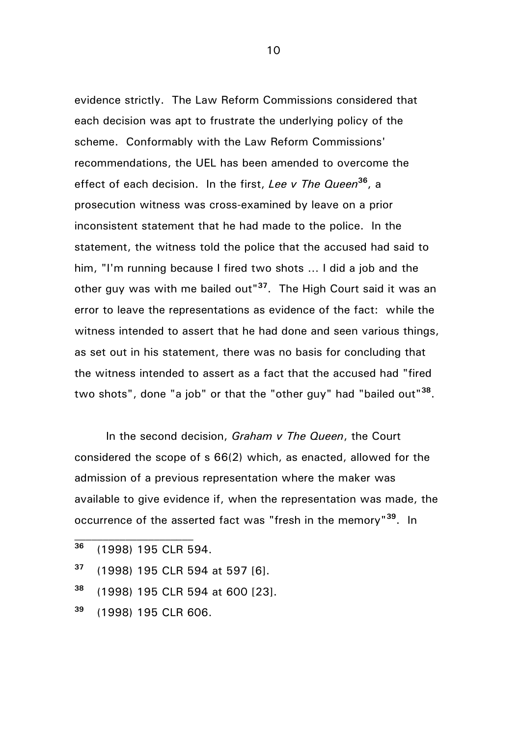evidence strictly. The Law Reform Commissions considered that each decision was apt to frustrate the underlying policy of the scheme. Conformably with the Law Reform Commissions' recommendations, the UEL has been amended to overcome the effect of each decision. In the first, *Lee v The Queen***<sup>36</sup>** , a prosecution witness was cross-examined by leave on a prior inconsistent statement that he had made to the police. In the statement, the witness told the police that the accused had said to him, "I'm running because I fired two shots … I did a job and the other guy was with me bailed out"**<sup>37</sup>** . The High Court said it was an error to leave the representations as evidence of the fact: while the witness intended to assert that he had done and seen various things, as set out in his statement, there was no basis for concluding that the witness intended to assert as a fact that the accused had "fired two shots", done "a job" or that the "other guy" had "bailed out"**<sup>38</sup>** .

In the second decision, *Graham v The Queen*, the Court considered the scope of s 66(2) which, as enacted, allowed for the admission of a previous representation where the maker was available to give evidence if, when the representation was made, the occurrence of the asserted fact was "fresh in the memory"**<sup>39</sup>**. In

- **<sup>36</sup>** (1998) 195 CLR 594.
- **<sup>37</sup>** (1998) 195 CLR 594 at 597 [6].
- **<sup>38</sup>** (1998) 195 CLR 594 at 600 [23].
- **<sup>39</sup>** (1998) 195 CLR 606.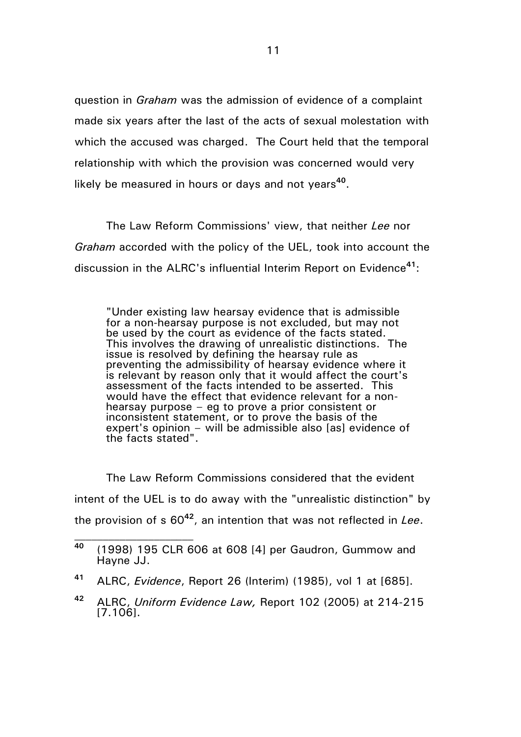question in *Graham* was the admission of evidence of a complaint made six years after the last of the acts of sexual molestation with which the accused was charged. The Court held that the temporal relationship with which the provision was concerned would very likely be measured in hours or days and not years**<sup>40</sup>** .

The Law Reform Commissions' view, that neither *Lee* nor *Graham* accorded with the policy of the UEL, took into account the discussion in the ALRC's influential Interim Report on Evidence**<sup>41</sup>**:

"Under existing law hearsay evidence that is admissible for a non-hearsay purpose is not excluded, but may not be used by the court as evidence of the facts stated. This involves the drawing of unrealistic distinctions. The issue is resolved by defining the hearsay rule as preventing the admissibility of hearsay evidence where it is relevant by reason only that it would affect the court's assessment of the facts intended to be asserted. This would have the effect that evidence relevant for a nonhearsay purpose – eg to prove a prior consistent or inconsistent statement, or to prove the basis of the expert's opinion – will be admissible also [as] evidence of the facts stated".

The Law Reform Commissions considered that the evident intent of the UEL is to do away with the "unrealistic distinction" by the provision of s 60**<sup>42</sup>**, an intention that was not reflected in *Lee*.

**<sup>40</sup>** (1998) 195 CLR 606 at 608 [4] per Gaudron, Gummow and Hayne JJ.

**<sup>41</sup>** ALRC, *Evidence*, Report 26 (Interim) (1985), vol 1 at [685].

**<sup>42</sup>** ALRC, *Uniform Evidence Law,* Report 102 (2005) at 214-215 [7.106].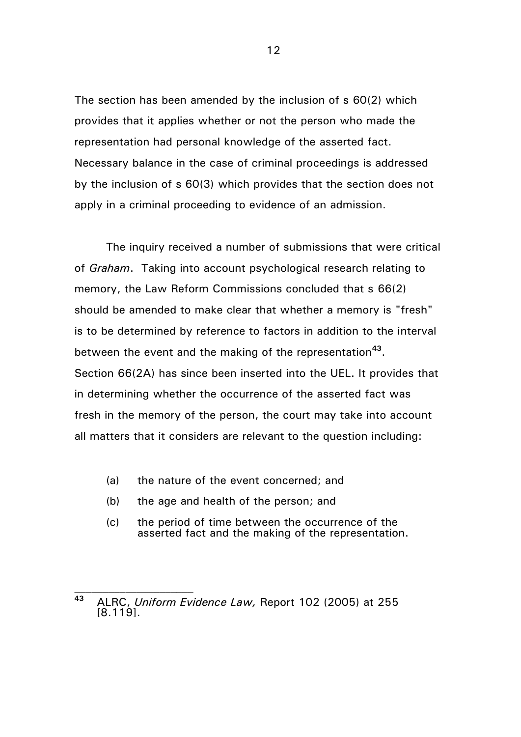The section has been amended by the inclusion of s 60(2) which provides that it applies whether or not the person who made the representation had personal knowledge of the asserted fact. Necessary balance in the case of criminal proceedings is addressed by the inclusion of s 60(3) which provides that the section does not apply in a criminal proceeding to evidence of an admission.

The inquiry received a number of submissions that were critical of *Graham*. Taking into account psychological research relating to memory, the Law Reform Commissions concluded that s 66(2) should be amended to make clear that whether a memory is "fresh" is to be determined by reference to factors in addition to the interval between the event and the making of the representation**<sup>43</sup>** . Section 66(2A) has since been inserted into the UEL. It provides that in determining whether the occurrence of the asserted fact was fresh in the memory of the person, the court may take into account all matters that it considers are relevant to the question including:

- (a) the nature of the event concerned; and
- (b) the age and health of the person; and
- (c) the period of time between the occurrence of the asserted fact and the making of the representation.

**<sup>43</sup>** ALRC, *Uniform Evidence Law,* Report 102 (2005) at 255 [8.119].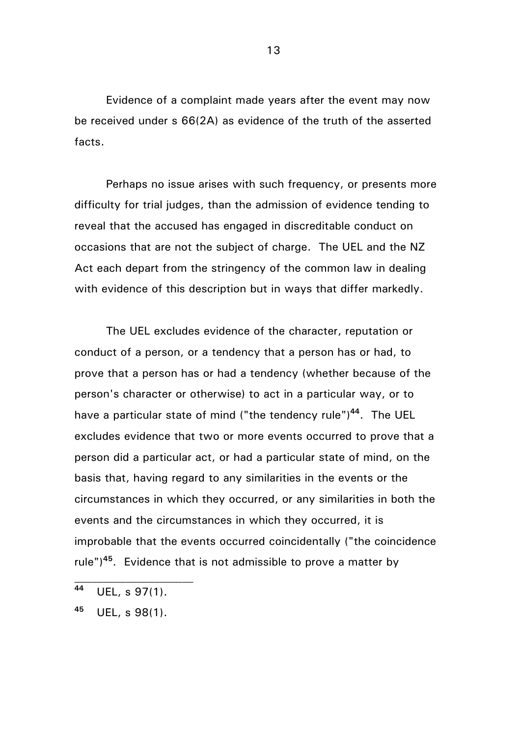Evidence of a complaint made years after the event may now be received under s 66(2A) as evidence of the truth of the asserted facts.

Perhaps no issue arises with such frequency, or presents more difficulty for trial judges, than the admission of evidence tending to reveal that the accused has engaged in discreditable conduct on occasions that are not the subject of charge. The UEL and the NZ Act each depart from the stringency of the common law in dealing with evidence of this description but in ways that differ markedly.

The UEL excludes evidence of the character, reputation or conduct of a person, or a tendency that a person has or had, to prove that a person has or had a tendency (whether because of the person's character or otherwise) to act in a particular way, or to have a particular state of mind ("the tendency rule")**<sup>44</sup>**. The UEL excludes evidence that two or more events occurred to prove that a person did a particular act, or had a particular state of mind, on the basis that, having regard to any similarities in the events or the circumstances in which they occurred, or any similarities in both the events and the circumstances in which they occurred, it is improbable that the events occurred coincidentally ("the coincidence rule")**<sup>45</sup>**. Evidence that is not admissible to prove a matter by

**<sup>44</sup>** UEL, s 97(1).

**<sup>45</sup>** UEL, s 98(1).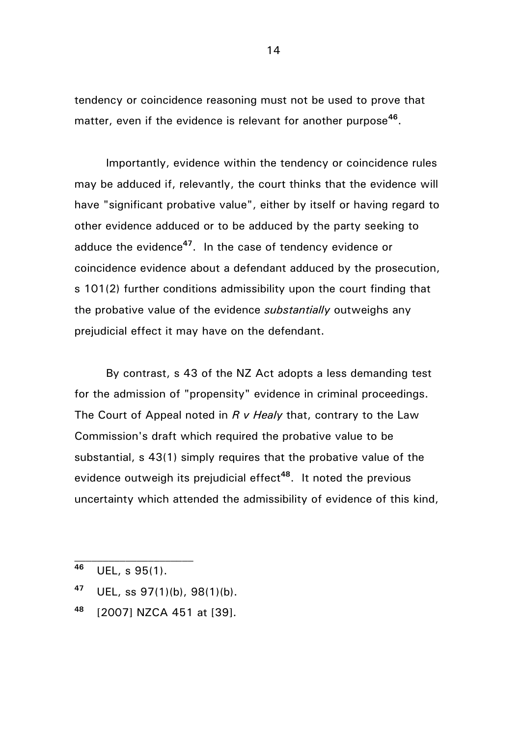tendency or coincidence reasoning must not be used to prove that matter, even if the evidence is relevant for another purpose**<sup>46</sup>** .

Importantly, evidence within the tendency or coincidence rules may be adduced if, relevantly, the court thinks that the evidence will have "significant probative value", either by itself or having regard to other evidence adduced or to be adduced by the party seeking to adduce the evidence**<sup>47</sup>**. In the case of tendency evidence or coincidence evidence about a defendant adduced by the prosecution, s 101(2) further conditions admissibility upon the court finding that the probative value of the evidence *substantially* outweighs any prejudicial effect it may have on the defendant.

By contrast, s 43 of the NZ Act adopts a less demanding test for the admission of "propensity" evidence in criminal proceedings. The Court of Appeal noted in *R v Healy* that, contrary to the Law Commission's draft which required the probative value to be substantial, s 43(1) simply requires that the probative value of the evidence outweigh its prejudicial effect**<sup>48</sup>**. It noted the previous uncertainty which attended the admissibility of evidence of this kind,

- **<sup>47</sup>** UEL, ss 97(1)(b), 98(1)(b).
- **<sup>48</sup>** [2007] NZCA 451 at [39].

**<sup>46</sup>** UEL, s 95(1).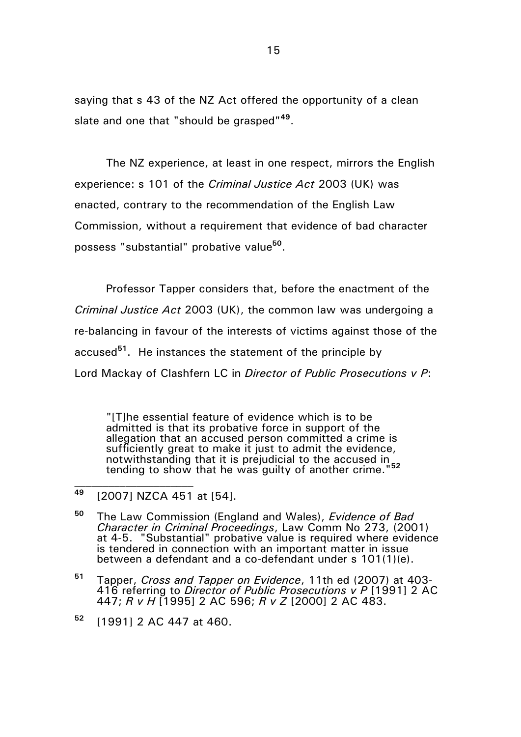saying that s 43 of the NZ Act offered the opportunity of a clean slate and one that "should be grasped"**<sup>49</sup>** .

The NZ experience, at least in one respect, mirrors the English experience: s 101 of the *Criminal Justice Act* 2003 (UK) was enacted, contrary to the recommendation of the English Law Commission, without a requirement that evidence of bad character possess "substantial" probative value**<sup>50</sup>** .

Professor Tapper considers that, before the enactment of the *Criminal Justice Act* 2003 (UK), the common law was undergoing a re-balancing in favour of the interests of victims against those of the accused**<sup>51</sup>** . He instances the statement of the principle by Lord Mackay of Clashfern LC in *Director of Public Prosecutions v P*:

"[T]he essential feature of evidence which is to be admitted is that its probative force in support of the allegation that an accused person committed a crime is sufficiently great to make it just to admit the evidence, notwithstanding that it is prejudicial to the accused in tending to show that he was guilty of another crime."**<sup>52</sup>**  $\overline{\phantom{a}}$ 

**<sup>49</sup>** [2007] NZCA 451 at [54].

**<sup>50</sup>** The Law Commission (England and Wales), *Evidence of Bad Character in Criminal Proceedings*, Law Comm No 273, (2001) at 4-5. "Substantial" probative value is required where evidence is tendered in connection with an important matter in issue between a defendant and a co-defendant under s 101(1)(e).

**<sup>51</sup>** Tapper, *Cross and Tapper on Evidence*, 11th ed (2007) at 403- 416 referring to *Director of Public Prosecutions v P* [1991] 2 AC 447; *R v H* [1995] 2 AC 596; *R v Z* [2000] 2 AC 483.

**<sup>52</sup>** [1991] 2 AC 447 at 460.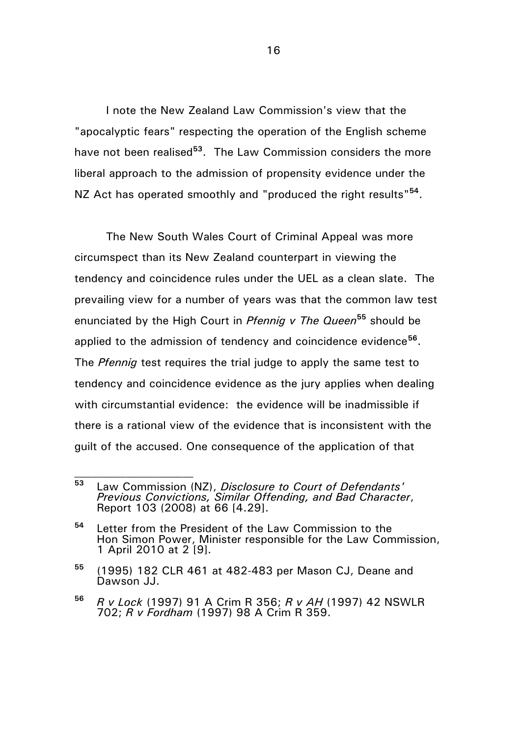I note the New Zealand Law Commission's view that the "apocalyptic fears" respecting the operation of the English scheme have not been realised**<sup>53</sup>**. The Law Commission considers the more liberal approach to the admission of propensity evidence under the NZ Act has operated smoothly and "produced the right results"<sup>54</sup>.

The New South Wales Court of Criminal Appeal was more circumspect than its New Zealand counterpart in viewing the tendency and coincidence rules under the UEL as a clean slate. The prevailing view for a number of years was that the common law test enunciated by the High Court in *Pfennig v The Queen***<sup>55</sup>** should be applied to the admission of tendency and coincidence evidence<sup>56</sup>. The *Pfennig* test requires the trial judge to apply the same test to tendency and coincidence evidence as the jury applies when dealing with circumstantial evidence: the evidence will be inadmissible if there is a rational view of the evidence that is inconsistent with the guilt of the accused. One consequence of the application of that

**<sup>53</sup>** Law Commission (NZ), *Disclosure to Court of Defendants' Previous Convictions, Similar Offending, and Bad Character*, Report 103 (2008) at 66 [4.29].

**<sup>54</sup>** Letter from the President of the Law Commission to the Hon Simon Power, Minister responsible for the Law Commission, 1 April 2010 at 2 [9].

**<sup>55</sup>** (1995) 182 CLR 461 at 482-483 per Mason CJ, Deane and Dawson JJ.

**<sup>56</sup>** *R v Lock* (1997) 91 A Crim R 356; *R v AH* (1997) 42 NSWLR 702; *R v Fordham* (1997) 98 A Crim R 359.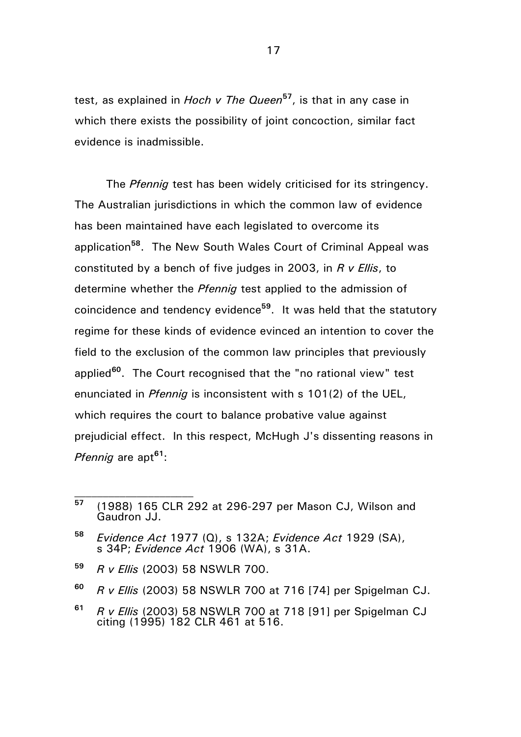test, as explained in *Hoch v The Queen***<sup>57</sup>**, is that in any case in which there exists the possibility of joint concoction, similar fact evidence is inadmissible.

The *Pfennig* test has been widely criticised for its stringency. The Australian jurisdictions in which the common law of evidence has been maintained have each legislated to overcome its application**<sup>58</sup>**. The New South Wales Court of Criminal Appeal was constituted by a bench of five judges in 2003, in *R v Ellis*, to determine whether the *Pfennig* test applied to the admission of coincidence and tendency evidence**<sup>59</sup>**. It was held that the statutory regime for these kinds of evidence evinced an intention to cover the field to the exclusion of the common law principles that previously applied**<sup>60</sup>**. The Court recognised that the "no rational view" test enunciated in *Pfennig* is inconsistent with s 101(2) of the UEL, which requires the court to balance probative value against prejudicial effect. In this respect, McHugh J's dissenting reasons in *Pfennig* are apt**<sup>61</sup>**:

- **<sup>59</sup>** *R v Ellis* (2003) 58 NSWLR 700.
- **<sup>60</sup>** *R v Ellis* (2003) 58 NSWLR 700 at 716 [74] per Spigelman CJ.
- **<sup>61</sup>** *R v Ellis* (2003) 58 NSWLR 700 at 718 [91] per Spigelman CJ citing (1995) 182 CLR 461 at 516.

**<sup>57</sup>** (1988) 165 CLR 292 at 296-297 per Mason CJ, Wilson and Gaudron JJ.

**<sup>58</sup>** *Evidence Act* 1977 (Q), s 132A; *Evidence Act* 1929 (SA), s 34P; *Evidence Act* 1906 (WA), s 31A.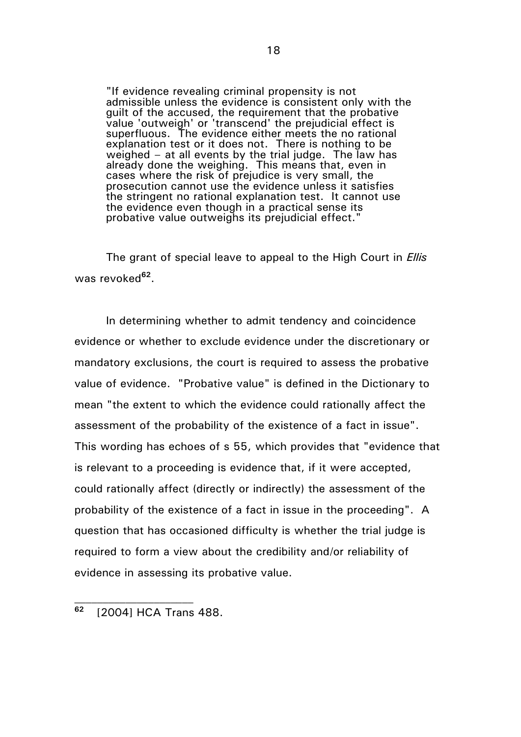"If evidence revealing criminal propensity is not admissible unless the evidence is consistent only with the guilt of the accused, the requirement that the probative value 'outweigh' or 'transcend' the prejudicial effect is superfluous. The evidence either meets the no rational explanation test or it does not. There is nothing to be weighed – at all events by the trial judge. The law has already done the weighing. This means that, even in cases where the risk of prejudice is very small, the prosecution cannot use the evidence unless it satisfies the stringent no rational explanation test. It cannot use the evidence even though in a practical sense its probative value outweighs its prejudicial effect."

The grant of special leave to appeal to the High Court in *Ellis* was revoked<sup>62</sup>.

In determining whether to admit tendency and coincidence evidence or whether to exclude evidence under the discretionary or mandatory exclusions, the court is required to assess the probative value of evidence. "Probative value" is defined in the Dictionary to mean "the extent to which the evidence could rationally affect the assessment of the probability of the existence of a fact in issue". This wording has echoes of s 55, which provides that "evidence that is relevant to a proceeding is evidence that, if it were accepted, could rationally affect (directly or indirectly) the assessment of the probability of the existence of a fact in issue in the proceeding". A question that has occasioned difficulty is whether the trial judge is required to form a view about the credibility and/or reliability of evidence in assessing its probative value.

**<sup>62</sup>** [2004] HCA Trans 488.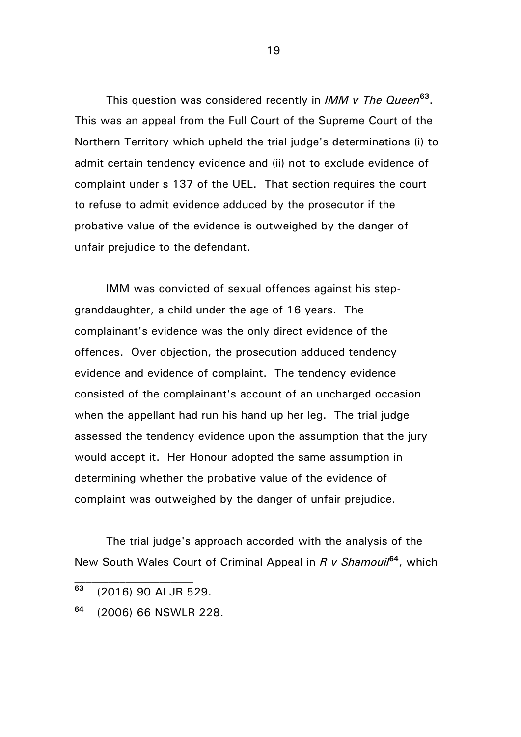This question was considered recently in *IMM v The Queen***<sup>63</sup>** . This was an appeal from the Full Court of the Supreme Court of the Northern Territory which upheld the trial judge's determinations (i) to admit certain tendency evidence and (ii) not to exclude evidence of complaint under s 137 of the UEL. That section requires the court to refuse to admit evidence adduced by the prosecutor if the probative value of the evidence is outweighed by the danger of unfair prejudice to the defendant.

IMM was convicted of sexual offences against his stepgranddaughter, a child under the age of 16 years. The complainant's evidence was the only direct evidence of the offences. Over objection, the prosecution adduced tendency evidence and evidence of complaint. The tendency evidence consisted of the complainant's account of an uncharged occasion when the appellant had run his hand up her leg. The trial judge assessed the tendency evidence upon the assumption that the jury would accept it. Her Honour adopted the same assumption in determining whether the probative value of the evidence of complaint was outweighed by the danger of unfair prejudice.

The trial judge's approach accorded with the analysis of the New South Wales Court of Criminal Appeal in *R v Shamouil***<sup>64</sup>**, which

**<sup>63</sup>** (2016) 90 ALJR 529.

**<sup>64</sup>** (2006) 66 NSWLR 228.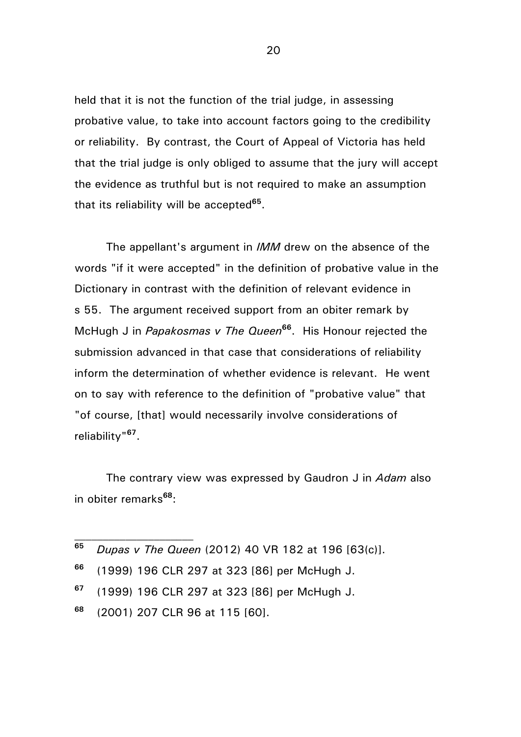held that it is not the function of the trial judge, in assessing probative value, to take into account factors going to the credibility or reliability. By contrast, the Court of Appeal of Victoria has held that the trial judge is only obliged to assume that the jury will accept the evidence as truthful but is not required to make an assumption that its reliability will be accepted**<sup>65</sup>** .

The appellant's argument in *IMM* drew on the absence of the words "if it were accepted" in the definition of probative value in the Dictionary in contrast with the definition of relevant evidence in s 55. The argument received support from an obiter remark by McHugh J in *Papakosmas v The Queen***<sup>66</sup>** . His Honour rejected the submission advanced in that case that considerations of reliability inform the determination of whether evidence is relevant. He went on to say with reference to the definition of "probative value" that "of course, [that] would necessarily involve considerations of reliability"**<sup>67</sup>** .

The contrary view was expressed by Gaudron J in *Adam* also in obiter remarks**<sup>68</sup>**:

|     | <sup>65</sup> Dupas v The Queen (2012) 40 VR 182 at 196 [63(c)]. |
|-----|------------------------------------------------------------------|
| 66. | $\overline{11}$<br>.                                             |

- **<sup>66</sup>** (1999) 196 CLR 297 at 323 [86] per McHugh J.
- **<sup>67</sup>** (1999) 196 CLR 297 at 323 [86] per McHugh J.
- **<sup>68</sup>** (2001) 207 CLR 96 at 115 [60].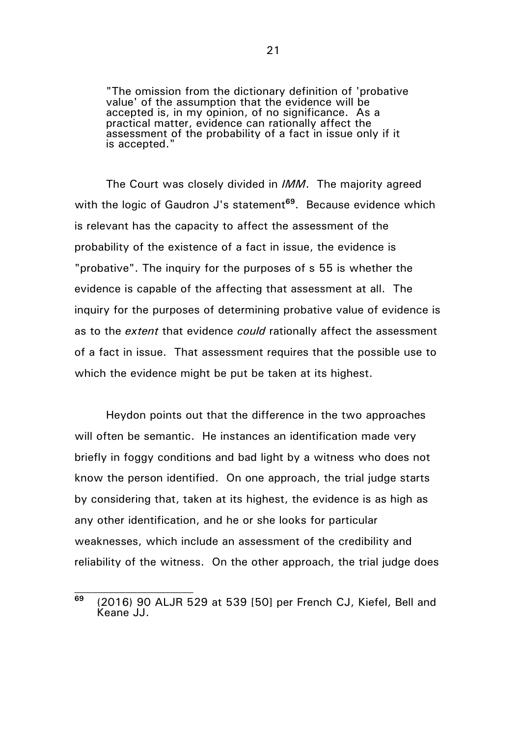"The omission from the dictionary definition of 'probative value' of the assumption that the evidence will be accepted is, in my opinion, of no significance. As a practical matter, evidence can rationally affect the assessment of the probability of a fact in issue only if it is accepted."

The Court was closely divided in *IMM*. The majority agreed with the logic of Gaudron J's statement**<sup>69</sup>**. Because evidence which is relevant has the capacity to affect the assessment of the probability of the existence of a fact in issue, the evidence is "probative". The inquiry for the purposes of s 55 is whether the evidence is capable of the affecting that assessment at all. The inquiry for the purposes of determining probative value of evidence is as to the *extent* that evidence *could* rationally affect the assessment of a fact in issue. That assessment requires that the possible use to which the evidence might be put be taken at its highest.

Heydon points out that the difference in the two approaches will often be semantic. He instances an identification made very briefly in foggy conditions and bad light by a witness who does not know the person identified. On one approach, the trial judge starts by considering that, taken at its highest, the evidence is as high as any other identification, and he or she looks for particular weaknesses, which include an assessment of the credibility and reliability of the witness. On the other approach, the trial judge does

**<sup>69</sup>** (2016) 90 ALJR 529 at 539 [50] per French CJ, Kiefel, Bell and Keane JJ.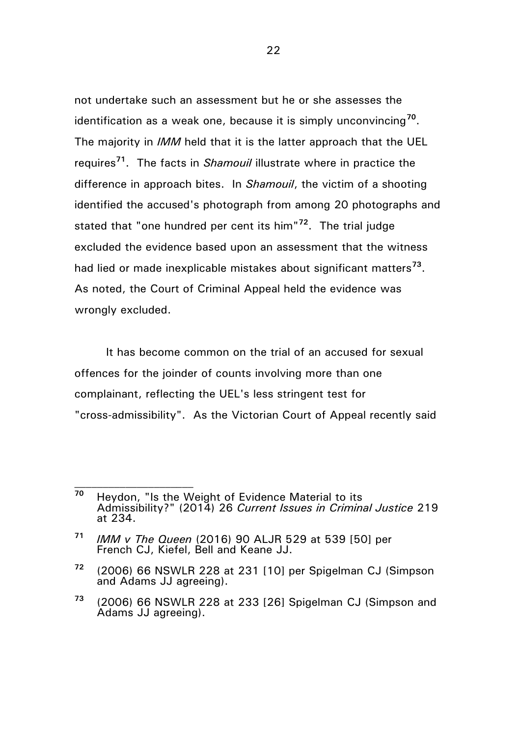not undertake such an assessment but he or she assesses the identification as a weak one, because it is simply unconvincing**<sup>70</sup>** . The majority in *IMM* held that it is the latter approach that the UEL requires**<sup>71</sup>**. The facts in *Shamouil* illustrate where in practice the difference in approach bites. In *Shamouil*, the victim of a shooting identified the accused's photograph from among 20 photographs and stated that "one hundred per cent its him"**<sup>72</sup>**. The trial judge excluded the evidence based upon an assessment that the witness had lied or made inexplicable mistakes about significant matters**<sup>73</sup>** . As noted, the Court of Criminal Appeal held the evidence was wrongly excluded.

It has become common on the trial of an accused for sexual offences for the joinder of counts involving more than one complainant, reflecting the UEL's less stringent test for "cross-admissibility". As the Victorian Court of Appeal recently said

**<sup>70</sup>** Heydon, "Is the Weight of Evidence Material to its Admissibility?" (2014) 26 *Current Issues in Criminal Justice* 219 at 234.

**<sup>71</sup>** *IMM v The Queen* (2016) 90 ALJR 529 at 539 [50] per French CJ, Kiefel, Bell and Keane JJ.

**<sup>72</sup>** (2006) 66 NSWLR 228 at 231 [10] per Spigelman CJ (Simpson and Adams JJ agreeing).

**<sup>73</sup>** (2006) 66 NSWLR 228 at 233 [26] Spigelman CJ (Simpson and Adams JJ agreeing).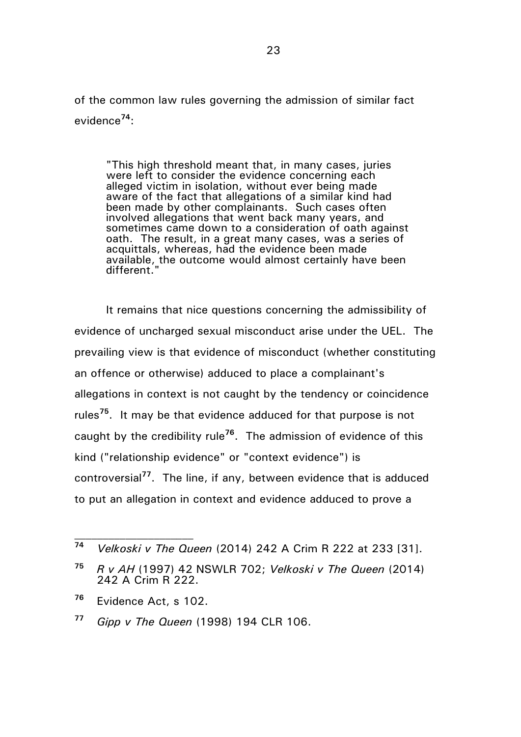of the common law rules governing the admission of similar fact evidence**<sup>74</sup>**:

"This high threshold meant that, in many cases, juries were left to consider the evidence concerning each alleged victim in isolation, without ever being made aware of the fact that allegations of a similar kind had been made by other complainants. Such cases often involved allegations that went back many years, and sometimes came down to a consideration of oath against oath. The result, in a great many cases, was a series of acquittals, whereas, had the evidence been made available, the outcome would almost certainly have been different."

It remains that nice questions concerning the admissibility of evidence of uncharged sexual misconduct arise under the UEL. The prevailing view is that evidence of misconduct (whether constituting an offence or otherwise) adduced to place a complainant's allegations in context is not caught by the tendency or coincidence rules**<sup>75</sup>**. It may be that evidence adduced for that purpose is not caught by the credibility rule**<sup>76</sup>**. The admission of evidence of this kind ("relationship evidence" or "context evidence") is controversial**<sup>77</sup>**. The line, if any, between evidence that is adduced to put an allegation in context and evidence adduced to prove a

**<sup>74</sup>** *Velkoski v The Queen* (2014) 242 A Crim R 222 at 233 [31].

**<sup>75</sup>** *R v AH* (1997) 42 NSWLR 702; *Velkoski v The Queen* (2014) 242 A Crim R 222.

**<sup>76</sup>** Evidence Act, s 102.

**<sup>77</sup>** *Gipp v The Queen* (1998) 194 CLR 106.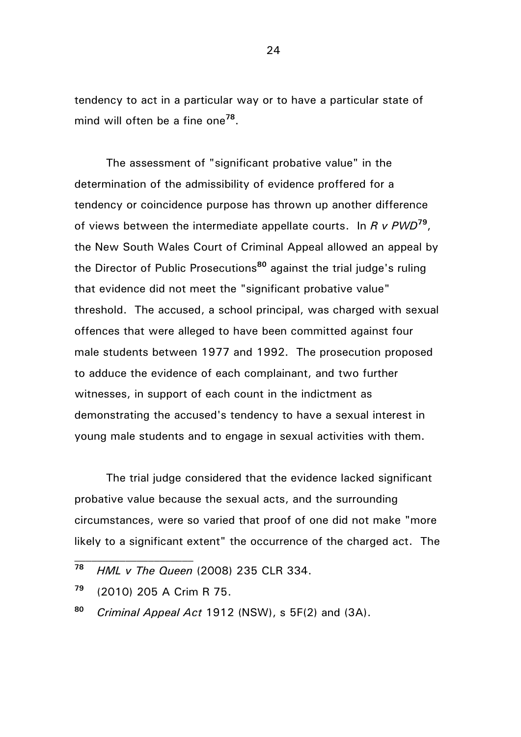tendency to act in a particular way or to have a particular state of mind will often be a fine one**<sup>78</sup>** .

The assessment of "significant probative value" in the determination of the admissibility of evidence proffered for a tendency or coincidence purpose has thrown up another difference of views between the intermediate appellate courts. In *R v PWD***<sup>79</sup>** , the New South Wales Court of Criminal Appeal allowed an appeal by the Director of Public Prosecutions**<sup>80</sup>** against the trial judge's ruling that evidence did not meet the "significant probative value" threshold. The accused, a school principal, was charged with sexual offences that were alleged to have been committed against four male students between 1977 and 1992. The prosecution proposed to adduce the evidence of each complainant, and two further witnesses, in support of each count in the indictment as demonstrating the accused's tendency to have a sexual interest in young male students and to engage in sexual activities with them.

The trial judge considered that the evidence lacked significant probative value because the sexual acts, and the surrounding circumstances, were so varied that proof of one did not make "more likely to a significant extent" the occurrence of the charged act. The

**<sup>78</sup>** *HML v The Queen* (2008) 235 CLR 334.

**<sup>79</sup>** (2010) 205 A Crim R 75.

**<sup>80</sup>** *Criminal Appeal Act* 1912 (NSW), s 5F(2) and (3A).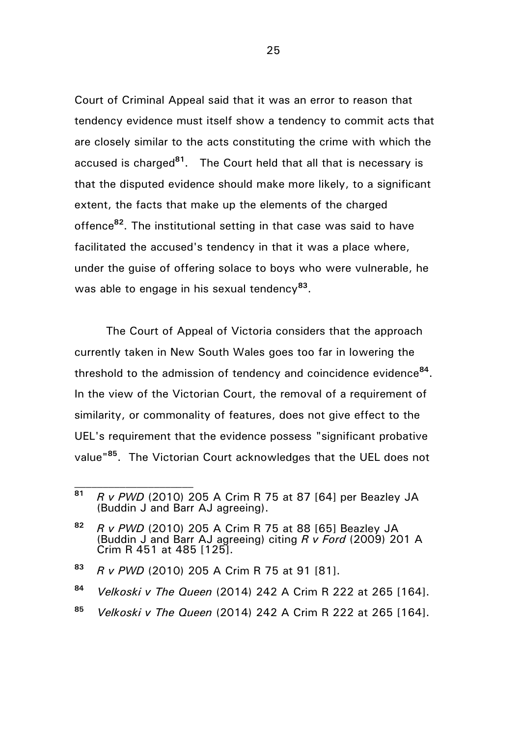Court of Criminal Appeal said that it was an error to reason that tendency evidence must itself show a tendency to commit acts that are closely similar to the acts constituting the crime with which the accused is charged**<sup>81</sup>**. The Court held that all that is necessary is that the disputed evidence should make more likely, to a significant extent, the facts that make up the elements of the charged offence**<sup>82</sup>** . The institutional setting in that case was said to have facilitated the accused's tendency in that it was a place where, under the guise of offering solace to boys who were vulnerable, he was able to engage in his sexual tendency**<sup>83</sup>** .

The Court of Appeal of Victoria considers that the approach currently taken in New South Wales goes too far in lowering the threshold to the admission of tendency and coincidence evidence**<sup>84</sup>** . In the view of the Victorian Court, the removal of a requirement of similarity, or commonality of features, does not give effect to the UEL's requirement that the evidence possess "significant probative value" **<sup>85</sup>**. The Victorian Court acknowledges that the UEL does not

**<sup>85</sup>** *Velkoski v The Queen* (2014) 242 A Crim R 222 at 265 [164].

**<sup>81</sup>** *R v PWD* (2010) 205 A Crim R 75 at 87 [64] per Beazley JA (Buddin J and Barr AJ agreeing).

**<sup>82</sup>** *R v PWD* (2010) 205 A Crim R 75 at 88 [65] Beazley JA (Buddin J and Barr AJ agreeing) citing *R v Ford* (2009) 201 A Crim R 451 at 485 [125].

**<sup>83</sup>** *R v PWD* (2010) 205 A Crim R 75 at 91 [81].

**<sup>84</sup>** *Velkoski v The Queen* (2014) 242 A Crim R 222 at 265 [164].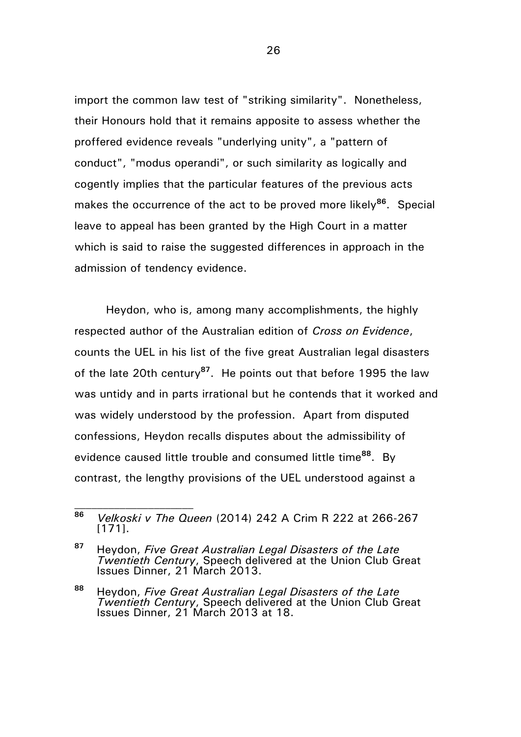import the common law test of "striking similarity". Nonetheless, their Honours hold that it remains apposite to assess whether the proffered evidence reveals "underlying unity", a "pattern of conduct", "modus operandi", or such similarity as logically and cogently implies that the particular features of the previous acts makes the occurrence of the act to be proved more likely**<sup>86</sup>** . Special leave to appeal has been granted by the High Court in a matter which is said to raise the suggested differences in approach in the admission of tendency evidence.

Heydon, who is, among many accomplishments, the highly respected author of the Australian edition of *Cross on Evidence*, counts the UEL in his list of the five great Australian legal disasters of the late 20th century**<sup>87</sup>**. He points out that before 1995 the law was untidy and in parts irrational but he contends that it worked and was widely understood by the profession. Apart from disputed confessions, Heydon recalls disputes about the admissibility of evidence caused little trouble and consumed little time**<sup>88</sup>**. By contrast, the lengthy provisions of the UEL understood against a

**<sup>86</sup>** *Velkoski v The Queen* (2014) 242 A Crim R 222 at 266-267 [171].

**<sup>87</sup>** Heydon, *Five Great Australian Legal Disasters of the Late Twentieth Century*, Speech delivered at the Union Club Great Issues Dinner, 21 March 2013.

**<sup>88</sup>** Heydon, *Five Great Australian Legal Disasters of the Late*  **Twentieth Century, Speech delivered at the Union Club Great** Issues Dinner, 21 March 2013 at 18.